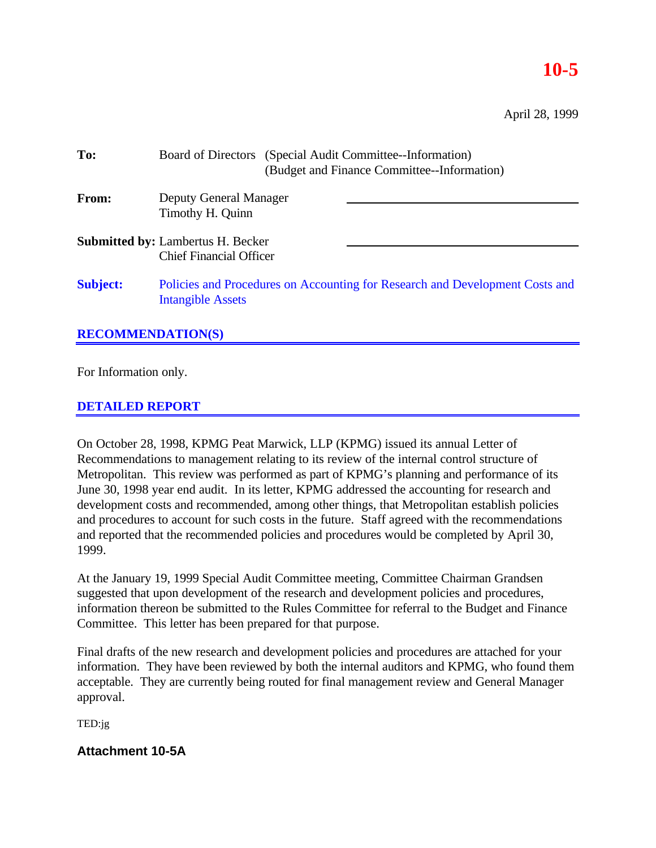# **10-5**

April 28, 1999

| To:                      | Board of Directors (Special Audit Committee-Information)<br>(Budget and Finance Committee--Information)  |  |  |  |
|--------------------------|----------------------------------------------------------------------------------------------------------|--|--|--|
| <b>From:</b>             | Deputy General Manager<br>Timothy H. Quinn                                                               |  |  |  |
|                          | <b>Submitted by: Lambertus H. Becker</b><br><b>Chief Financial Officer</b>                               |  |  |  |
| <b>Subject:</b>          | Policies and Procedures on Accounting for Research and Development Costs and<br><b>Intangible Assets</b> |  |  |  |
| <b>RECOMMENDATION(S)</b> |                                                                                                          |  |  |  |

For Information only.

# **DETAILED REPORT**

On October 28, 1998, KPMG Peat Marwick, LLP (KPMG) issued its annual Letter of Recommendations to management relating to its review of the internal control structure of Metropolitan. This review was performed as part of KPMG's planning and performance of its June 30, 1998 year end audit. In its letter, KPMG addressed the accounting for research and development costs and recommended, among other things, that Metropolitan establish policies and procedures to account for such costs in the future. Staff agreed with the recommendations and reported that the recommended policies and procedures would be completed by April 30, 1999.

At the January 19, 1999 Special Audit Committee meeting, Committee Chairman Grandsen suggested that upon development of the research and development policies and procedures, information thereon be submitted to the Rules Committee for referral to the Budget and Finance Committee. This letter has been prepared for that purpose.

Final drafts of the new research and development policies and procedures are attached for your information. They have been reviewed by both the internal auditors and KPMG, who found them acceptable. They are currently being routed for final management review and General Manager approval.

TED:jg

# **Attachment 10-5A**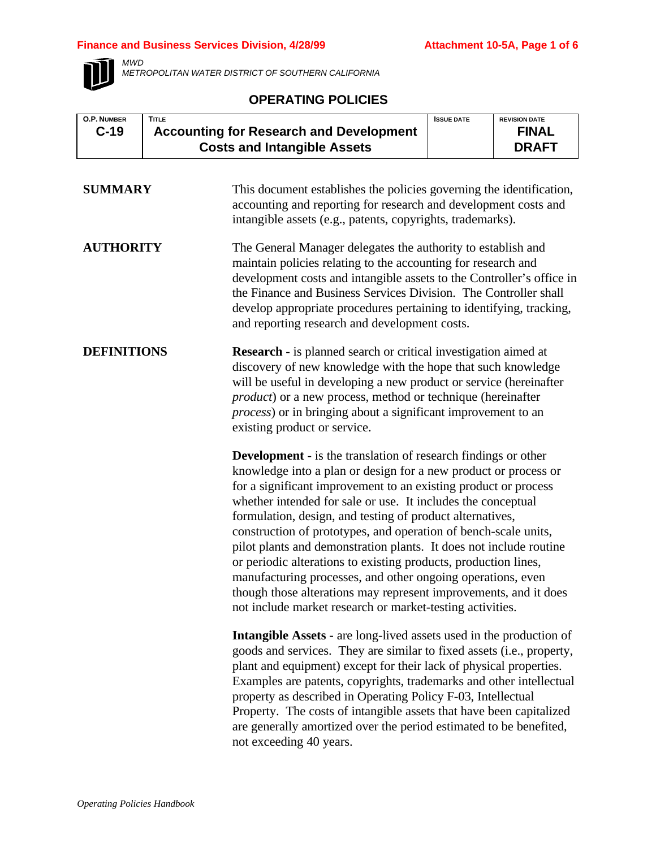# **Finance and Business Services Division, 4/28/99 Attachment 10-5A, Page 1 of 6**



*MWD METROPOLITAN WATER DISTRICT OF SOUTHERN CALIFORNIA*

# **OPERATING POLICIES**

| <b>O.P. NUMBER</b> | <b>TITLE</b> |                                                                                                                                                                                                                                                                                                                                                                                                                                                                                                                                                                                                                                                                                                                                                      | <b>ISSUE DATE</b> | <b>REVISION DATE</b> |
|--------------------|--------------|------------------------------------------------------------------------------------------------------------------------------------------------------------------------------------------------------------------------------------------------------------------------------------------------------------------------------------------------------------------------------------------------------------------------------------------------------------------------------------------------------------------------------------------------------------------------------------------------------------------------------------------------------------------------------------------------------------------------------------------------------|-------------------|----------------------|
| $C-19$             |              | <b>Accounting for Research and Development</b>                                                                                                                                                                                                                                                                                                                                                                                                                                                                                                                                                                                                                                                                                                       |                   | <b>FINAL</b>         |
|                    |              | <b>Costs and Intangible Assets</b>                                                                                                                                                                                                                                                                                                                                                                                                                                                                                                                                                                                                                                                                                                                   |                   | <b>DRAFT</b>         |
|                    |              |                                                                                                                                                                                                                                                                                                                                                                                                                                                                                                                                                                                                                                                                                                                                                      |                   |                      |
| <b>SUMMARY</b>     |              | This document establishes the policies governing the identification,<br>accounting and reporting for research and development costs and<br>intangible assets (e.g., patents, copyrights, trademarks).                                                                                                                                                                                                                                                                                                                                                                                                                                                                                                                                                |                   |                      |
| <b>AUTHORITY</b>   |              | The General Manager delegates the authority to establish and<br>maintain policies relating to the accounting for research and<br>development costs and intangible assets to the Controller's office in<br>the Finance and Business Services Division. The Controller shall<br>develop appropriate procedures pertaining to identifying, tracking,<br>and reporting research and development costs.                                                                                                                                                                                                                                                                                                                                                   |                   |                      |
| <b>DEFINITIONS</b> |              | <b>Research</b> - is planned search or critical investigation aimed at<br>discovery of new knowledge with the hope that such knowledge<br>will be useful in developing a new product or service (hereinafter<br><i>product</i> ) or a new process, method or technique (hereinafter<br>process) or in bringing about a significant improvement to an<br>existing product or service.                                                                                                                                                                                                                                                                                                                                                                 |                   |                      |
|                    |              | <b>Development</b> - is the translation of research findings or other<br>knowledge into a plan or design for a new product or process or<br>for a significant improvement to an existing product or process<br>whether intended for sale or use. It includes the conceptual<br>formulation, design, and testing of product alternatives,<br>construction of prototypes, and operation of bench-scale units,<br>pilot plants and demonstration plants. It does not include routine<br>or periodic alterations to existing products, production lines,<br>manufacturing processes, and other ongoing operations, even<br>though those alterations may represent improvements, and it does<br>not include market research or market-testing activities. |                   |                      |
|                    |              | <b>Intangible Assets - are long-lived assets used in the production of</b><br>goods and services. They are similar to fixed assets (i.e., property,<br>plant and equipment) except for their lack of physical properties.<br>Examples are patents, copyrights, trademarks and other intellectual<br>property as described in Operating Policy F-03, Intellectual<br>Property. The costs of intangible assets that have been capitalized<br>are generally amortized over the period estimated to be benefited,<br>not exceeding 40 years.                                                                                                                                                                                                             |                   |                      |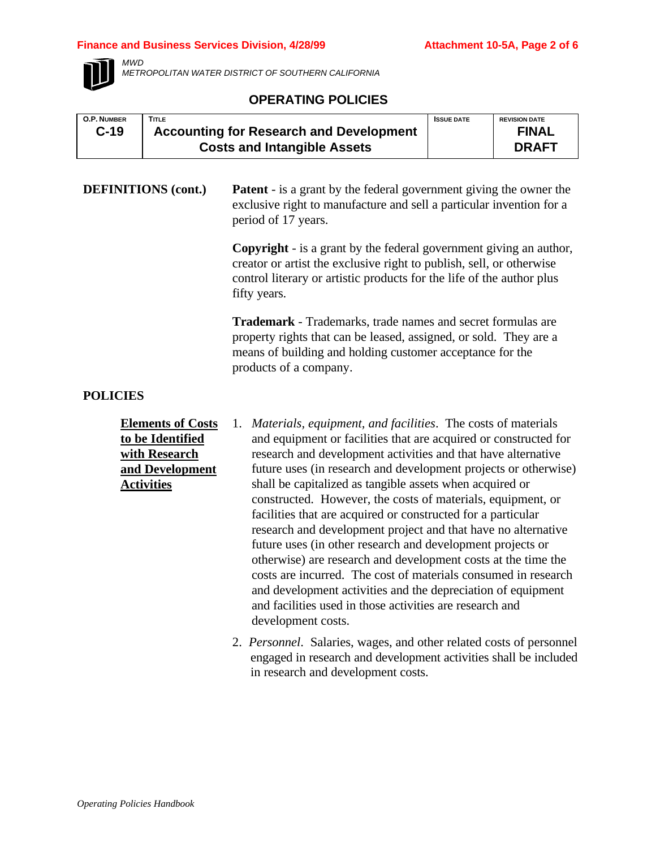#### **Finance and Business Services Division, 4/28/99 <b>Attachment 10-5A, Page 2 of 6**



*MWD*

*METROPOLITAN WATER DISTRICT OF SOUTHERN CALIFORNIA*

# **OPERATING POLICIES**

| <b>O.P. NUMBER</b> | <b>TITLE</b>                                   | <b>ISSUE DATE</b> | <b>REVISION DATE</b> |
|--------------------|------------------------------------------------|-------------------|----------------------|
| $C-19$             | <b>Accounting for Research and Development</b> |                   | <b>FINAL</b>         |
|                    | <b>Costs and Intangible Assets</b>             |                   | <b>DRAFT</b>         |

**DEFINITIONS (cont.) Patent** - is a grant by the federal government giving the owner the exclusive right to manufacture and sell a particular invention for a period of 17 years.

> **Copyright** - is a grant by the federal government giving an author, creator or artist the exclusive right to publish, sell, or otherwise control literary or artistic products for the life of the author plus fifty years.

**Trademark** - Trademarks, trade names and secret formulas are property rights that can be leased, assigned, or sold. They are a means of building and holding customer acceptance for the products of a company.

# **POLICIES**

**Elements of Costs to be Identified with Research and Development Activities**

- 1. *Materials, equipment, and facilities*. The costs of materials and equipment or facilities that are acquired or constructed for research and development activities and that have alternative future uses (in research and development projects or otherwise) shall be capitalized as tangible assets when acquired or constructed. However, the costs of materials, equipment, or facilities that are acquired or constructed for a particular research and development project and that have no alternative future uses (in other research and development projects or otherwise) are research and development costs at the time the costs are incurred. The cost of materials consumed in research and development activities and the depreciation of equipment and facilities used in those activities are research and development costs.
	- 2. *Personnel*. Salaries, wages, and other related costs of personnel engaged in research and development activities shall be included in research and development costs.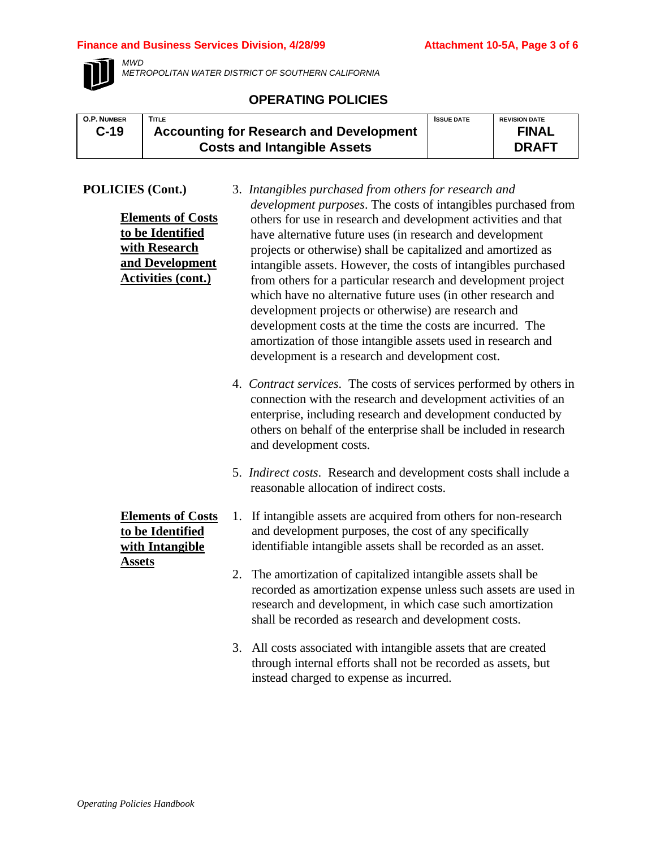### **Finance and Business Services Division, 4/28/99 Attachment 10-5A, Page 3 of 6**



*MWD METROPOLITAN WATER DISTRICT OF SOUTHERN CALIFORNIA*

# **OPERATING POLICIES**

| <b>O.P. NUMBER</b> | <b>TITLE</b>                                   | <b>ISSUE DATE</b> | <b>REVISION DATE</b> |
|--------------------|------------------------------------------------|-------------------|----------------------|
| $C-19$             | <b>Accounting for Research and Development</b> |                   | <b>FINAL</b>         |
|                    | <b>Costs and Intangible Assets</b>             |                   | <b>DRAFT</b>         |

# **POLICIES (Cont.)**

| CIES (Cont.)                                                                                                  | 3. Intangibles purchased from others for research and<br><i>development purposes</i> . The costs of intangibles purchased from                                                                                                                                                                                                                                                                                                                                                                                                                                                                                                        |
|---------------------------------------------------------------------------------------------------------------|---------------------------------------------------------------------------------------------------------------------------------------------------------------------------------------------------------------------------------------------------------------------------------------------------------------------------------------------------------------------------------------------------------------------------------------------------------------------------------------------------------------------------------------------------------------------------------------------------------------------------------------|
| <b>Elements of Costs</b><br>to be Identified<br>with Research<br>and Development<br><b>Activities (cont.)</b> | others for use in research and development activities and that<br>have alternative future uses (in research and development<br>projects or otherwise) shall be capitalized and amortized as<br>intangible assets. However, the costs of intangibles purchased<br>from others for a particular research and development project<br>which have no alternative future uses (in other research and<br>development projects or otherwise) are research and<br>development costs at the time the costs are incurred. The<br>amortization of those intangible assets used in research and<br>development is a research and development cost. |
|                                                                                                               | 4. Contract services. The costs of services performed by others in<br>connection with the research and development activities of an<br>enterprise, including research and development conducted by<br>others on behalf of the enterprise shall be included in research<br>and development costs.                                                                                                                                                                                                                                                                                                                                      |
|                                                                                                               | 5. Indirect costs. Research and development costs shall include a<br>reasonable allocation of indirect costs.                                                                                                                                                                                                                                                                                                                                                                                                                                                                                                                         |
| <b>Elements of Costs</b><br>to be Identified<br>with Intangible                                               | 1. If intangible assets are acquired from others for non-research<br>and development purposes, the cost of any specifically<br>identifiable intangible assets shall be recorded as an asset.                                                                                                                                                                                                                                                                                                                                                                                                                                          |
| <b>Assets</b>                                                                                                 | 2. The amortization of capitalized intangible assets shall be<br>recorded as amortization expense unless such assets are used in<br>research and development, in which case such amortization<br>shall be recorded as research and development costs.                                                                                                                                                                                                                                                                                                                                                                                 |
|                                                                                                               | 3. All costs associated with intangible assets that are created<br>through internal efforts shall not be recorded as assets, but                                                                                                                                                                                                                                                                                                                                                                                                                                                                                                      |

instead charged to expense as incurred.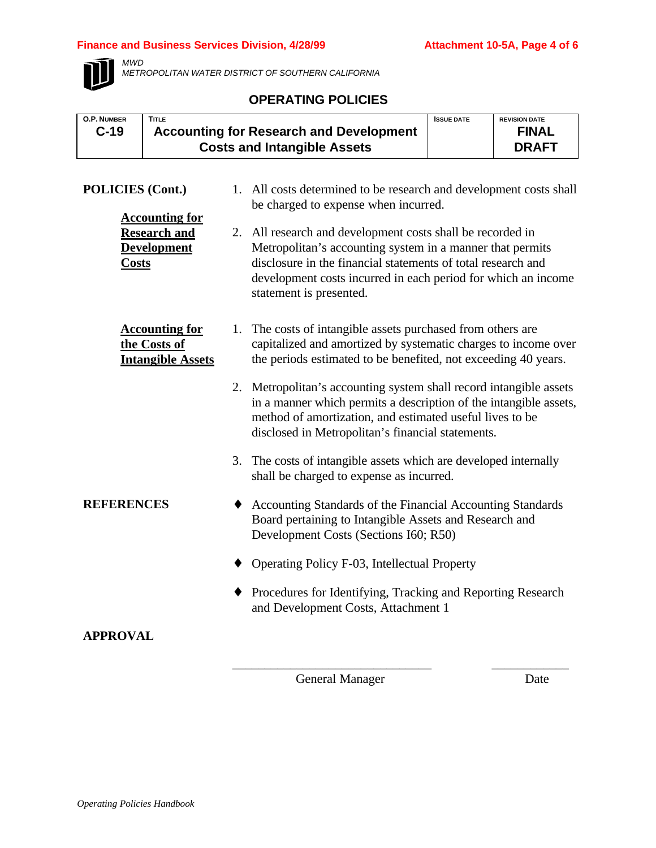### **Finance and Business Services Division, 4/28/99 Attachment 10-5A, Page 4 of 6**



*MWD*

*METROPOLITAN WATER DISTRICT OF SOUTHERN CALIFORNIA*

### **OPERATING POLICIES**

| <b>O.P. NUMBER</b><br>$C-19$              | <b>TITLE</b> | <b>Accounting for Research and Development</b><br><b>Costs and Intangible Assets</b>                       | <b>ISSUE DATE</b> | <b>REVISION DATE</b><br><b>FINAL</b><br><b>DRAFT</b> |
|-------------------------------------------|--------------|------------------------------------------------------------------------------------------------------------|-------------------|------------------------------------------------------|
| POLICIES (Cont.)<br><b>Accounting for</b> |              | 1. All costs determined to be research and development costs shall<br>be charged to expense when incurred. |                   |                                                      |

| ACCOUNTING TOL      |                                                                                          |
|---------------------|------------------------------------------------------------------------------------------|
| <b>Research and</b> | 2. All research and development costs shall be recorded in                               |
| <b>Development</b>  | Metropolitan's accounting system in a manner that permits                                |
| <b>Costs</b>        | disclosure in the financial statements of total research and                             |
|                     | development costs incurred in each period for which an income<br>statement is presented. |
|                     |                                                                                          |

- **Accounting for the Costs of Intangible Assets** 1. The costs of intangible assets purchased from others are capitalized and amortized by systematic charges to income over the periods estimated to be benefited, not exceeding 40 years.
	- 2. Metropolitan's accounting system shall record intangible assets in a manner which permits a description of the intangible assets, method of amortization, and estimated useful lives to be disclosed in Metropolitan's financial statements.
		- 3. The costs of intangible assets which are developed internally shall be charged to expense as incurred.
- **REFERENCES** ♦ Accounting Standards of the Financial Accounting Standards Board pertaining to Intangible Assets and Research and Development Costs (Sections I60; R50)
	- ♦ Operating Policy F-03, Intellectual Property
	- ♦ Procedures for Identifying, Tracking and Reporting Research and Development Costs, Attachment 1

\_\_\_\_\_\_\_\_\_\_\_\_\_\_\_\_\_\_\_\_\_\_\_\_\_\_\_\_\_\_\_ \_\_\_\_\_\_\_\_\_\_\_\_

**APPROVAL**

General Manager Date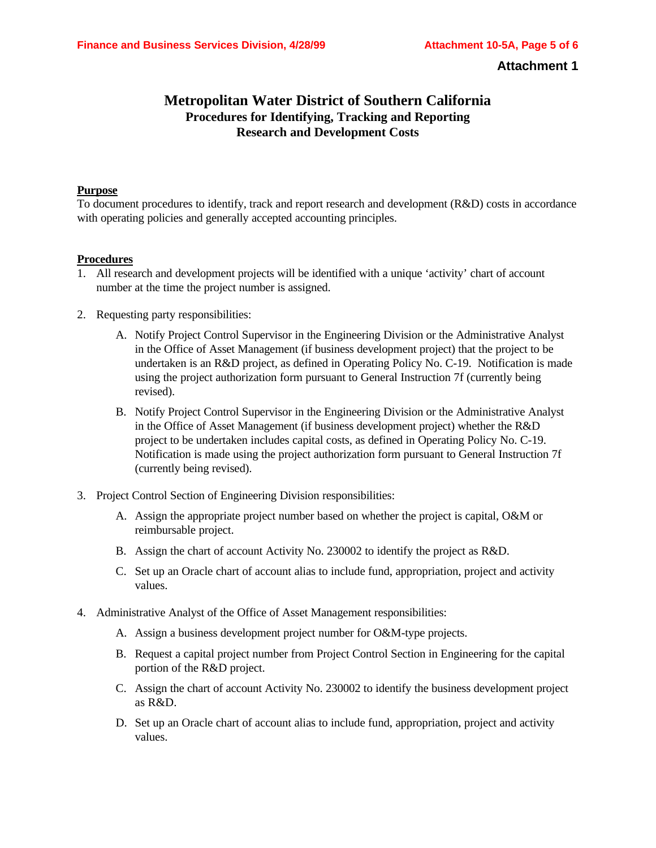### **Attachment 1**

# **Metropolitan Water District of Southern California Procedures for Identifying, Tracking and Reporting Research and Development Costs**

#### **Purpose**

To document procedures to identify, track and report research and development (R&D) costs in accordance with operating policies and generally accepted accounting principles.

#### **Procedures**

- 1. All research and development projects will be identified with a unique 'activity' chart of account number at the time the project number is assigned.
- 2. Requesting party responsibilities:
	- A. Notify Project Control Supervisor in the Engineering Division or the Administrative Analyst in the Office of Asset Management (if business development project) that the project to be undertaken is an R&D project, as defined in Operating Policy No. C-19. Notification is made using the project authorization form pursuant to General Instruction 7f (currently being revised).
	- B. Notify Project Control Supervisor in the Engineering Division or the Administrative Analyst in the Office of Asset Management (if business development project) whether the R&D project to be undertaken includes capital costs, as defined in Operating Policy No. C-19. Notification is made using the project authorization form pursuant to General Instruction 7f (currently being revised).
- 3. Project Control Section of Engineering Division responsibilities:
	- A. Assign the appropriate project number based on whether the project is capital, O&M or reimbursable project.
	- B. Assign the chart of account Activity No. 230002 to identify the project as R&D.
	- C. Set up an Oracle chart of account alias to include fund, appropriation, project and activity values.
- 4. Administrative Analyst of the Office of Asset Management responsibilities:
	- A. Assign a business development project number for O&M-type projects.
	- B. Request a capital project number from Project Control Section in Engineering for the capital portion of the R&D project.
	- C. Assign the chart of account Activity No. 230002 to identify the business development project as R&D.
	- D. Set up an Oracle chart of account alias to include fund, appropriation, project and activity values.